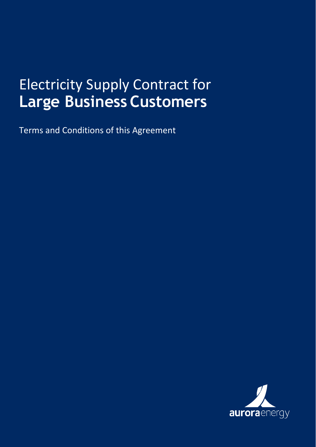# Electricity Supply Contract for **Large Business Customers**

Terms and Conditions of this Agreement

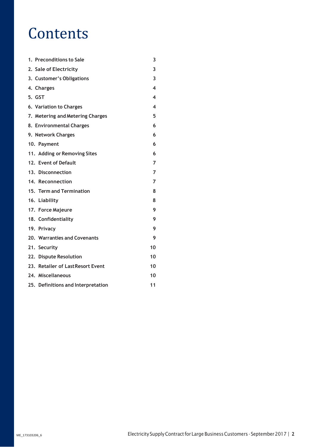# **Contents**

| 1. Preconditions to Sale           | 3              |
|------------------------------------|----------------|
| 2. Sale of Electricity             | 3              |
| 3. Customer's Obligations          | 3              |
| 4. Charges                         | 4              |
| 5. GST                             | 4              |
| 6. Variation to Charges            | 4              |
| 7. Metering and Metering Charges   | 5              |
| 8. Environmental Charges           | 6              |
| 9. Network Charges                 | 6              |
| 10. Payment                        | 6              |
| 11. Adding or Removing Sites       | 6              |
| 12. Event of Default               | $\overline{7}$ |
| 13. Disconnection                  | $\overline{7}$ |
| 14. Reconnection                   | $\overline{7}$ |
| 15. Term and Termination           | 8              |
| 16. Liability                      | 8              |
| 17. Force Majeure                  | 9              |
| 18. Confidentiality                | 9              |
| 19. Privacy                        | 9              |
| 20. Warranties and Covenants       | 9              |
| 21. Security                       | 10             |
| 22. Dispute Resolution             | 10             |
| 23. Retailer of Last Resort Event  | 10             |
| 24. Miscellaneous                  | 10             |
| 25. Definitions and Interpretation | 11             |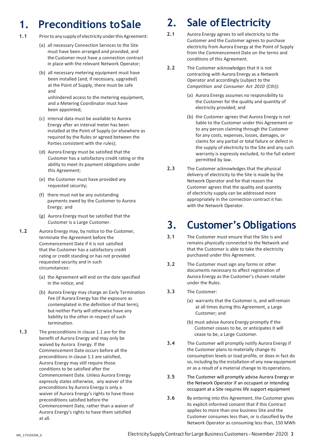## <span id="page-3-0"></span>**1. Preconditions toSale**

- 1.1 Prior to any supply of electricity under this Agreement:
	- (a) all necessary Connection Services to the Site must have been arranged and provided, and the Customer must have a connection contract in place with the relevant Network Operator;
	- (b) all necessary metering equipment must have been installed (and, if necessary, upgraded) at the Point of Supply, there must be safe and

unhindered access to the metering equipment, and a Metering Coordinator must have been appointed;

- (c) interval data must be available to Aurora Energy after an interval meter has been installed at the Point of Supply (or elsewhere as required by the Rules or agreed between the Parties consistent with the rules);
- (d) Aurora Energy must be satisfied that the Customer has a satisfactory credit rating or the ability to meet its payment obligations under this Agreement;
- (e) the Customer must have provided any requested security;
- (f) there must not be any outstanding payments owed by the Customer to Aurora Energy; and
- (g) Aurora Energy must be satisfied that the Customer is a Large Customer.
- **1.2** Aurora Energy may, by notice to the Customer, terminate the Agreement before the Commencement Date if it is not satisfied that the Customer has a satisfactory credit rating or credit standing or has not provided requested security and in such circumstances:
	- (a) the Agreement will end on the date specified in the notice; and
	- (b) Aurora Energy may charge an Early Termination Fee (if Aurora Energy has the exposure as contemplated in the definition of that term), but neither Party will otherwise have any liability to the other in respect of such termination.
- <span id="page-3-1"></span>**1.3** The preconditions in clause 1.1 are for the benefit of Aurora Energy and may only be waived by Aurora Energy. If the Commencement Date occurs before all the preconditions in clause 1.1 are satisfied, Aurora Energy may still require those conditions to be satisfied after the Commencement Date. Unless Aurora Energy expressly states otherwise, any waiver of the preconditions by Aurora Energy is only a waiver of Aurora Energy's rights to have those preconditions satisfied before the Commencement Date, rather than a waiver of Aurora Energy's rights to have them satisfied at all.

## **2. Sale ofElectricity**

- **2.1** Aurora Energy agrees to sell electricity to the Customer and the Customer agrees to purchase electricity from Aurora Energy at the Point of Supply from the Commencement Date on the terms and conditions of this Agreement.
- **2.2** The Customer acknowledges that it is not contracting with Aurora Energy as a Network Operator and accordingly (subject to the *Competition and Consumer Act 2010* (Cth)):
	- (a) Aurora Energy assumes no responsibility to the Customer for the quality and quantity of electricity provided; and
	- (b) the Customer agrees that Aurora Energy is not liable to the Customer under this Agreement or to any person claiming through the Customer for any costs, expenses, losses, damages, or claims for any partial or total failure or defect in the supply of electricity to the Site and any such warranty is expressly excluded, to the full extent permitted by law.
- **2.3** The Customer acknowledges that the physical delivery of electricity to the Site is made by the Network Operator and for that reason the Customer agrees that the quality and quantity of electricity supply can be addressed more appropriately in the connection contract it has with the Network Operator.

## <span id="page-3-2"></span>**3. Customer's Obligations**

- **3.1** The Customer must ensure that the Site is and remains physically connected to the Network and that the Customer is able to take the electricity purchased under this Agreement.
- **3.2** The Customer must sign any forms or other documents necessary to affect registration of Aurora Energy as the Customer's chosen retailer under the Rules.
- **3.3** The Customer:
	- (a) warrants that the Customer is, and willremain at all times during this Agreement, a Large Customer; and
	- (b) must advise Aurora Energy promptly if the Customer ceases to be, or anticipates it will cease to be, a Large Customer.
- **3.4** The Customer will promptly notify Aurora Energy if the Customer plans to materially change its consumption levels or load profile, or does in fact do so, including by the installation of any new equipment or as a result of a material change to itsoperations.
- **3.5** The Customer will promptly advise Aurora Energy or the Network Operator if an occupant or intending occupant at a Site requires life support equipment
- **3.6** By entering into this Agreement, the Customer gives its explicit informed consent that if this Contract applies to more than one business Site and the Customer consumes less than, or is classified by the Network Operator as consuming less than, 150 MWh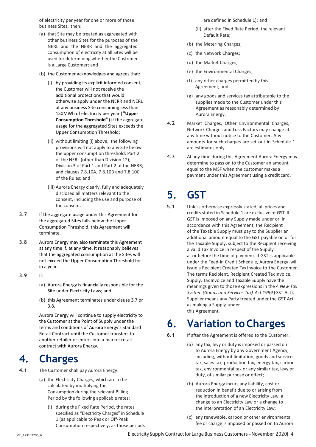of electricity per year for one or more of those business Sites, then:

- (a) that Site may be treated as aggregated with other business Sites for the purposes of the NERL and the NERR and the aggregated consumption of electricity at all Sites will be used for determining whether the Customer is a Large Customer; and
- (b) the Customer acknowledges and agrees that:
	- (i) by providing its explicit informed consent, the Customer will not receive the additional protections that would otherwise apply under the NERR and NERL at any business Site consuming less than 150MWh of electricity per year (**"Upper Consumption Threshold"**) if the aggregate usage for the aggregated Sites exceeds the Upper Consumption Threshold;
	- (ii) without limiting (i) above, the following provisions will not apply to any Site below the upper consumption threshold: Part 2 of the NERL (other than Division 12); Division 3 of Part 1 and Part 2 of the NERR; and clauses 7.8.10A, 7.8.10B and 7.8.10C of the Rules; and
	- (iii) Aurora Energy clearly, fully and adequately disclosed all matters relevant to the consent, including the use and purpose of the consent.
- <span id="page-4-3"></span>**3.7** If the aggregate usage under this Agreement for the aggregated Sites falls below the Upper Consumption Threshold, this Agreement will terminate.
- <span id="page-4-4"></span>**3.8** Aurora Energy may also terminate this Agreement at any time if, at any time, it reasonably believes that the aggregated consumption at the Sites will not exceed the Upper Consumption Threshold for in a year.
- **3.9** If:
	- (a) Aurora Energy is financially responsible for the Site under Electricity Laws; and
	- (b) this Agreement terminates under clause [3.7](#page-4-3) or [3.8,](#page-4-4)

Aurora Energy will continue to supply electricity to the Customer at the Point of Supply under the terms and conditions of Aurora Energy's Standard Retail Contract until the Customer transfers to another retailer or enters into a market retail contract with Aurora Energy.

## <span id="page-4-0"></span>**4. Charges**

- **4.1** The Customer shall pay Aurora Energy:
	- (a) the Electricity Charges, which are to be calculated by multiplying the Consumption during the relevant Billing Period by the following applicable rates:
		- (i) during the Fixed Rate Period, the rates specified as "Electricity Charges" in Schedule 1 (as applicable to Peak or Off-Peak Consumption respectively, as those periods

are defined in Schedule 1); and

- (ii) after the Fixed Rate Period, the relevant Default Rate;
- (b) the Metering Charges;
- (c) the Network Charges;
- (d) the Market Charges;
- (e) the Environmental Charges;
- (f) any other charges permitted by this Agreement; and
- (g) any goods and services tax attributable to the supplies made to the Customer under this Agreement as reasonably determined by Aurora Energy.
- **4.2** Market Charges, Other Environmental Charges, Network Charges and Loss Factors may change at any time without notice to the Customer. Any amounts for such charges are set out in Schedule 1 are estimates only.
- **4.3** At any time during this Agreement Aurora Energy may determine to pass on to the Customer an amount equal to the MSF when the customer makes a payment under this Agreement using a credit card.

## <span id="page-4-1"></span>**5. GST**

**5.1** Unless otherwise expressly stated, all prices and credits stated in Schedule 1 are exclusive of GST. If GST is imposed on any Supply made under or in accordance with this Agreement, the Recipient of the Taxable Supply must pay to the Supplier an additional amount equal to the GST payable on or for the Taxable Supply, subject to the Recipient receiving a valid Tax Invoice in respect of the Supply at or before the time of payment. If GST is applicable under the Feed-in Credit Schedule, Aurora Energy will issue a Recipient Created Tax Invoice to the Customer. The terms Recipient, Recipient Created Tax Invoice, Supply, Tax Invoice and Taxable Supply have the meanings given to those expressions in the *A New Tax System (Goods and Services Tax) Act 1999* (GST Act). Supplier means any Party treated under the GST Act as making a Supply under this Agreement.

## <span id="page-4-2"></span>**6. Variation toCharges**

- **6.1** If after the Agreement is offered to the Customer:
	- (a) any tax, levy or duty is imposed or passed on to Aurora Energy by any Government Agency, including, without limitation, goods and services tax, sales tax, production tax, energy tax, carbon tax, environmental tax or any similar tax, levy or duty, of similar purpose or effect;
	- (b) Aurora Energy incurs any liability, cost or reduction in benefit due to or arising from the introduction of a new Electricity Law, a change to an Electricity Law or a change to the interpretation of an Electricity Law;
	- (c) any renewable, carbon or other environmental fee or charge is imposed or passed on to Aurora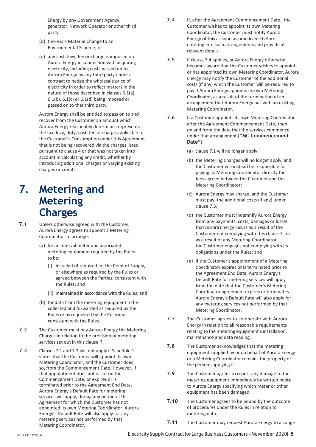Energy by any Government Agency, generator, Network Operator or other third party;

- (d) there is a Material Change to an Environmental Scheme; or
- (e) any cost, levy, fee or charge is imposed on Aurora Energy in connection with acquiring electricity, including costs passed on to Aurora Energy by any third party under a contract to hedge the wholesale price of electricity in order to reflect matters in the nature of those described in clauses 6.1(a),  $6.1(b)$ ,  $6.1(c)$  or  $6.1(d)$  being imposed or passed on to that third party,

Aurora Energy shall be entitled to pass on to and recover from the Customer an amount which Aurora Energy reasonably determines represents the tax, levy, duty, cost, fee or charge applicable to the Customer's Consumption under this Agreement that is not being recovered via the charges listed pursuant to clause 4 or that was not taken into account in calculating any credit, whether by introducing additional charges or varying existing charges or credits.

### <span id="page-5-0"></span>**7. Metering and Metering Charges**

- **7.1** Unless otherwise agreed with the Customer, Aurora Energy agrees to appoint a Metering Coordinator to arrange:
	- (a) for an interval meter and associated metering equipment required by the Rules to be:
		- (i) installed (if required) at the Point of Supply, or elsewhere as required by the Rules or agreed between the Parties, consistent with the Rules; and
		- (ii) maintained in accordance with the Rules; and
	- (b) for data from the metering equipment to be collected and forwarded as required by the Rules or as requested by the Customer consistent with the Rules.
- **7.2** The Customer must pay Aurora Energy the Metering Charges in relation to the provision of metering services set out in this clause 7.
- **7.3** Clauses 7.1 and 7.2 will not apply if Schedule 1 states that the Customer will appoint its own Metering Coordinator, and the Customer does so, from the Commencement Date. However, if that appointment does not occur on the Commencement Date, or expires or is terminated prior to the Agreement End Date, Aurora Energy's Default Rate for metering services will apply, during any period of this Agreement for which the Customer has not appointed its own Metering Coordinator. Aurora Energy's Default Rate will also apply for any metering services not performed by that Metering Coordinator.
- **7.4** If, after the Agreement Commencement Date, the Customer wishes to appoint its own Metering Coordinator, the Customer must notify Aurora Energy of this as soon as practicable before entering into such arrangements and provide all relevant details.
- **7.5** If clause 7.4 applies, or Aurora Energy otherwise becomes aware that the Customer wishes to appoint or has appointed its own Metering Coordinator, Aurora Energy may notify the Customer of the additional costs (if any) which the Customer will be required to pay if Aurora Energy appoints its own Metering Coordinator, as a result of the termination of an arrangement that Aurora Energy has with an existing Metering Coordinator.
- **7.6** If a Customer appoints its own Metering Coordinator after the Agreement Commencement Date, then on and from the date that the services commence under that arrangement (**"MC Commencement Date"**):
	- (a) clause 7.1 will no longer apply;
	- (b) the Metering Charges will no longer apply, and the Customer will instead be responsible for paying its Metering Coordinator directly the fees agreed between the Customer and the Metering Coordinator;
	- (c) Aurora Energy may charge, and the Customer must pay, the additional costs (if any) under clause 7.5;
	- (d) the Customer must indemnify Aurora Energy from any payments, costs, damages or losses that Aurora Energy incurs as a result of the Customer not complying with this clause 7 or as a result of any Metering Coordinator the Customer engages not complying with its obligations under the Rules; and
	- (e) if the Customer's appointment of a Metering Coordinator expires or is terminated prior to the Agreement End Date, Aurora Energy's Default Rate for metering services will apply from the date that the Customer's Metering Coordinator agreement expires or terminates. Aurora Energy's Default Rate will also apply for any metering services not performed by that Metering Coordinator.
- **7.7** The Customer agrees to co-operate with Aurora Energy in relation to all reasonable requirements relating to the metering equipment's installation, maintenance and data reading.
- **7.8** The Customer acknowledges that the metering equipment supplied by or on behalf of Aurora Energy or a Metering Coordinator remains the property of the person supplying it.
- **7.9** The Customer agrees to report any damage to the metering equipment immediately by written notice to Aurora Energy specifying which meter or other equipment has been damaged.
- **7.10** The Customer agrees to be bound by the outcome of procedures under the Rules in relation to metering data.
- **7.11** The Customer may request Aurora Energy to arrange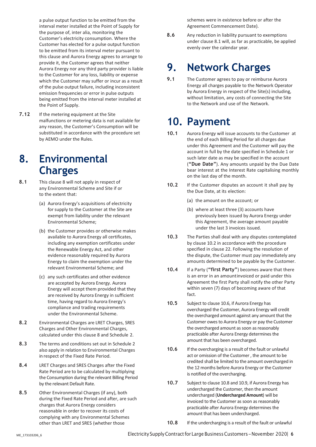a pulse output function to be emitted from the interval meter installed at the Point of Supply for the purpose of, inter alia, monitoring the Customer's electricity consumption. Where the Customer has elected for a pulse output function to be emitted from its interval meter pursuant to this clause and Aurora Energy agrees to arrange to provide it, the Customer agrees that neither Aurora Energy nor any third party provider is liable to the Customer for any loss, liability or expense which the Customer may suffer or incur as a result of the pulse output failure, including inconsistent emission frequencies or error in pulse outputs being emitted from the interval meter installed at the Point of Supply.

**7.12** If the metering equipment at the Site malfunctions or metering data is not available for any reason, the Customer's Consumption will be substituted in accordance with the procedure set by AEMO under the Rules.

## <span id="page-6-0"></span>**8. Environmental Charges**

- **8.1** This clause 8 will not apply in respect of any Environmental Scheme and Site if or to the extent that:
	- (a) Aurora Energy's acquisitions of electricity for supply to the Customer at the Site are exempt from liability under the relevant Environmental Scheme;
	- (b) the Customer provides or otherwise makes available to Aurora Energy all certificates, including any exemption certificates under the Renewable Energy Act, and other evidence reasonably required by Aurora Energy to claim the exemption under the relevant Environmental Scheme; and
	- (c) any such certificates and other evidence are accepted by Aurora Energy. Aurora Energy will accept them provided that they are received by Aurora Energy in sufficient time, having regard to Aurora Energy's compliance and trading requirements under the Environmental Scheme.
- **8.2** Environmental Charges are LRET Charges, SRES Charges and Other Environmental Charges, calculated under this clause 8 and Schedule 2.
- **8.3** The terms and conditions set out in Schedule 2 also apply in relation to Environmental Charges in respect of the Fixed Rate Period.
- **8.4** LRET Charges and SRES Charges after the Fixed Rate Period are to be calculated by multiplying the Consumption during the relevant Billing Period by the relevant Default Rate.
- **8.5** Other Environmental Charges (if any), both during the Fixed Rate Period and after, are such charges that Aurora Energy considers reasonable in order to recover its costs of complying with any Environmental Schemes other than LRET and SRES (whether those

schemes were in existence before or after the Agreement Commencement Date).

**8.6** Any reduction in liability pursuant to exemptions under clause 8.1 will, as far as practicable, be applied evenly over the calendar year.

## <span id="page-6-1"></span>**9. Network Charges**

**9.1** The Customer agrees to pay or reimburse Aurora Energy all charges payable to the Network Operator by Aurora Energy in respect of the Site(s) including, without limitation, any costs of connecting the Site to the Network and use of the Network.

## <span id="page-6-2"></span>**10. Payment**

- **10.1** Aurora Energy will issue accounts to the Customer at the end of each Billing Period for all charges due under this Agreement and the Customer will pay the account in full by the date specified in Schedule 1 or such later date as may be specified in the account (**"Due Date"**). Any amounts unpaid by the Due Date bear interest at the Interest Rate capitalising monthly on the last day of the month.
- **10.2** If the Customer disputes an account it shall pay by the Due Date, at its election:
	- (a) the amount on the account; or
	- (b) where at least three (3) accounts have previously been issued by Aurora Energy under this Agreement, the average amount payable under the last 3 invoices issued.
- **10.3** The Parties shall deal with any disputes contemplated by clause 10.2 in accordance with the procedure specified in clause 22. Following the resolution of the dispute, the Customer must pay immediately any amounts determined to be payable by the Customer.
- **10.4** If a Party (**"first Party"**) becomes aware that there is an error in an amountinvoiced or paid under this Agreement the first Party shall notify the other Party within seven (7) days of becoming aware of that fact.
- **10.5** Subject to claus[e 10.6,](#page-6-3) if Aurora Energy has overcharged the Customer, Aurora Energy will credit the overcharged amount against any amount that the Customer owes to Aurora Energy or pay the Customer the overcharged amount as soon as reasonably practicable after Aurora Energy determines the amount that has been overcharged.
- <span id="page-6-3"></span>**10.6** If the overcharging is a result of the fault or unlawful act or omission of the Customer , the amount to be credited shall be limited to the amount overcharged in the 12 months before Aurora Energy or the Customer is notified of the overcharging.
- **10.7** Subject to claus[e 10.8](#page-6-4) an[d 10.9,](#page-7-3) if Aurora Energy has undercharged the Customer, then the amount undercharged (**Undercharged Amount**) will be invoiced to the Customer as soon as reasonably practicable after Aurora Energy determines the amount that has been undercharged.
- <span id="page-6-4"></span>**10.8** If the undercharging is a result of the fault or unlawful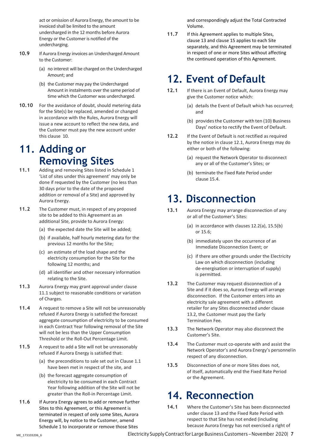act or omission of Aurora Energy, the amount to be invoiced shall be limited to the amount undercharged in the 12 months before Aurora Energy or the Customer is notified of the undercharging.

- <span id="page-7-3"></span>**10.9** If Aurora Energy invoices an Undercharged Amount to the Customer:
	- (a) no interest will be charged on the Undercharged Amount; and
	- (b) the Customer may pay the Undercharged Amount in instalments over the same period of time which the Customer was undercharged.
- **10.10** For the avoidance of doubt, should metering data for the Site(s) be replaced, amended or changed in accordance with the Rules, Aurora Energy will issue a new account to reflect the new data, and the Customer must pay the new account under this clause 10.

## **11. Adding or Removing Sites**

- **11.1** Adding and removing Sites listed in Schedule 1 'List of sites under this agreement' may only be done if requested by the Customer (no less than 30 days prior to the date of the proposed addition or removal of a Site) and approved by Aurora Energy.
- **11.2** The Customer must, in respect of any proposed site to be added to this Agreement as an additional Site, provide to Aurora Energy:
	- (a) the expected date the Site will be added;
	- (b) if available, half hourly metering data for the previous 12 months for the Site;
	- (c) an estimate of the load shape and the electricity consumption for the Site for the following 12 months; and
	- (d) all identifier and other necessary information relating to the Site.
- **11.3** Aurora Energy may grant approval under clause 11.1 subject to reasonable conditions or variation of Charges.
- **11.4** A request to remove a Site will not be unreasonably refused if Aurora Energy is satisfied the forecast aggregate consumption of electricity to be consumed in each Contract Year following removal of the Site will not be less than the Upper Consumption Threshold or the Roll-Out Percentage Limit.
- **11.5** A request to add a Site will not be unreasonably refused if Aurora Energy is satisfied that:
	- (a) the preconditions to sale set out in Clause 1.1 have been met in respect of the site, and
	- (b) the forecast aggregate consumption of electricity to be consumed in each Contract Year following addition of the Site will not be greater than the Roll-in Percentage Limit.
- **11.6** If Aurora Energy agrees to add or remove further Sites to this Agreement, or this Agreement is terminated in respect of only some Sites, Aurora Energy will, by notice to the Customer, amend Schedule 1 to incorporate or remove those Sites

and correspondingly adjust the Total Contracted Volume.

**11.7** If this Agreement applies to multiple Sites, clause 13 and clause 15 applies to each Site separately, and this Agreement may be terminated in respect of one or more Sites without affecting the continued operation of this Agreement.

## <span id="page-7-0"></span>**12. Event of Default**

- **12.1** If there is an Event of Default, Aurora Energy may give the Customer notice which:
	- (a) details the Event of Default which has occurred; and
	- (b) provides the Customer with ten (10) Business Days' notice to rectify the Event of Default.
- **12.2** If the Event of Default is not rectified as required by the notice in clause 12.1, Aurora Energy may do either or both of the following:
	- (a) request the Network Operator to disconnect any or all of the Customer's Sites; or
	- (b) terminate the Fixed Rate Period under clause 15.4.

## <span id="page-7-1"></span>**13. Disconnection**

- **13.1** Aurora Energy may arrange disconnection of any or all of the Customer's Sites:
	- (a) in accordance with clauses 12.2(a), 15.5(b) or 15.6;
	- (b) immediately upon the occurrence of an Immediate Disconnection Event; or
	- (c) if there are other grounds under the Electricity Law on which disconnection (including de-energisation or interruption of supply) is permitted.
- **13.2** The Customer may request disconnection of a Site and if it does so, Aurora Energy will arrange disconnection. If the Customer enters into an electricity sale agreement with a different retailer for any Sites disconnected under clause 13.2, the Customer must pay the Early Termination Fee.
- **13.3** The Network Operator may also disconnect the Customer's Site.
- **13.4** The Customer must co-operate with and assist the Network Operator's and Aurora Energy's personnelin respect of any disconnection.
- **13.5** Disconnection of one or more Sites does not, of itself, automatically end the Fixed Rate Period or the Agreement.

### <span id="page-7-2"></span>**14. Reconnection**

**14.1** Where the Customer's Site has been disconnected under clause 13 and the Fixed Rate Period with respect to that Site has not ended (including because Aurora Energy has not exercised a right of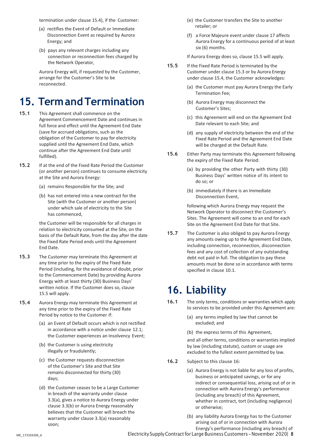termination under clause 15.4), if the Customer:

- (a) rectifies the Event of Default or Immediate Disconnection Event as required by Aurora Energy; and
- (b) pays any relevant charges including any connection or reconnection fees charged by the Network Operator,

Aurora Energy will, if requested by the Customer, arrange for the Customer's Site to be reconnected.

## <span id="page-8-0"></span>**15. TermandTermination**

- **15.1** This Agreement shall commence on the Agreement Commencement Date and continues in full force and effect until the Agreement End Date (save for accrued obligations, such as the obligation of the Customer to pay for electricity supplied until the Agreement End Date, which continue after the Agreement End Date until fulfilled).
- **15.2** If at the end of the Fixed Rate Period the Customer (or another person) continues to consume electricity at the Site and Aurora Energy:
	- (a) remains Responsible for the Site; and
	- (b) has not entered into a new contract for the Site (with the Customer or another person) under which sale of electricity to the Site has commenced,

the Customer will be responsible for all charges in relation to electricity consumed at the Site, on the basis of the Default Rate, from the day after the date the Fixed Rate Period ends until the Agreement End Date.

- **15.3** The Customer may terminate this Agreement at any time prior to the expiry of the Fixed Rate Period (including, for the avoidance of doubt, prior to the Commencement Date) by providing Aurora Energy with at least thirty (30) Business Days' written notice. If the Customer does so, clause 15.5 will apply.
- **15.4** Aurora Energy may terminate this Agreement at any time prior to the expiry of the Fixed Rate Period by notice to the Customer if:
	- (a) an Event of Default occurs which is not rectified in accordance with a notice under clause 12.1; the Customer experiences an Insolvency Event;
	- (b) the Customer is using electricity illegally or fraudulently;
	- (c) the Customer requests disconnection of the Customer's Site and that Site remains disconnected for thirty (30) days;
	- (d) the Customer ceases to be a Large Customer in breach of the warranty under clause 3.3(a), gives a notice to Aurora Energy under clause 3.3(b) or Aurora Energy reasonably believes that the Customer will breach the warranty under clause 3.3(a) reasonably soon;
- (e) the Customer transfers the Site to another retailer; or
- (f) a Force Majeure event under clause 17 affects Aurora Energy for a continuous period of at least six (6) months.

If Aurora Energy does so, clause 15.5 will apply.

- **15.5** If the Fixed Rate Period is terminated by the Customer under clause 15.3 or by Aurora Energy under clause 15.4, the Customer acknowledges:
	- (a) the Customer must pay Aurora Energy the Early Termination Fee;
	- (b) Aurora Energy may disconnect the Customer's Sites;
	- (c) this Agreement will end on the Agreement End Date relevant to each Site; and
	- (d) any supply of electricity between the end of the Fixed Rate Period and the Agreement End Date will be charged at the Default Rate.
- **15.6** Either Party may terminate this Agreement following the expiry of the Fixed Rate Period:
	- (a) by providing the other Party with thirty (30) Business Days' written notice of its intent to do so; or
	- (b) immediately if there is an Immediate Disconnection Event,

following which Aurora Energy may request the Network Operator to disconnect the Customer's Sites. The Agreement will come to an end for each Site on the Agreement End Date for that Site.

**15.7** The Customer is also obliged to pay Aurora Energy any amounts owing up to the Agreement End Date, including connection, reconnection, disconnection fees and any cost of collection of any outstanding debt not paid in full. The obligation to pay these amounts must be done so in accordance with terms specified in clause 10.1.

## <span id="page-8-1"></span>**16. Liability**

- **16.1** The only terms, conditions or warranties which apply to services to be provided under this Agreement are:
	- (a) any terms implied by law that cannot be excluded; and
	- (b) the express terms of this Agreement,

and all other terms, conditions or warranties implied by law (including statute), custom or usage are excluded to the fullest extent permitted by law.

- **16.2** Subject to this clause 16:
	- (a) Aurora Energy is not liable for any loss of profits, business or anticipated savings, or for any indirect or consequential loss, arising out of or in connection with Aurora Energy's performance (including any breach) of this Agreement, whether in contract, tort (including negligence) or otherwise;
	- (b) any liability Aurora Energy has to the Customer arising out of or in connection with Aurora Energy's performance (including any breach) of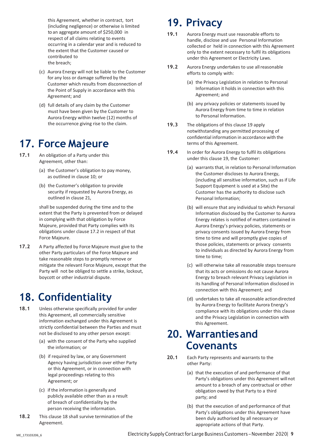this Agreement, whether in contract, tort (including negligence) or otherwise is limited to an aggregate amount of \$250,000 in respect of all claims relating to events occurring in a calendar year and is reduced to the extent that the Customer caused or contributed to the breach;

- (c) Aurora Energy will not be liable to the Customer for any loss or damage suffered by the Customer which results from disconnection of the Point of Supply in accordance with this Agreement; and
- (d) full details of any claim by the Customer must have been given by the Customer to Aurora Energy within twelve (12) months of the occurrence giving rise to the claim.

## <span id="page-9-0"></span>**17. Force Majeure**

- **17.1** An obligation of a Party under this Agreement, other than:
	- (a) the Customer's obligation to pay money, as outlined in clause 10; or
	- (b) the Customer's obligation to provide security if requested by Aurora Energy, as outlined in clause 21,

shall be suspended during the time and to the extent that the Party is prevented from or delayed in complying with that obligation by Force Majeure, provided that Party complies with its obligations under clause 17.2 in respect of that Force Majeure.

**17.2** A Party affected by Force Majeure must give to the other Party particulars of the Force Majeure and take reasonable steps to promptly remove or mitigate the relevant Force Majeure, except that the Party will not be obliged to settle a strike, lockout, boycott or other industrial dispute.

## <span id="page-9-1"></span>**18. Confidentiality**

- **18.1** Unless otherwise specifically provided for under this Agreement, all commercially sensitive information exchanged under this Agreement is strictly confidential between the Parties and must not be disclosed to any other person except:
	- (a) with the consent of the Party who supplied the information; or
	- (b) if required by law, or any Government Agency having jurisdiction over either Party or this Agreement, or in connection with legal proceedings relating to this Agreement; or
	- (c) if the information is generally and publicly available other than as a result of breach of confidentiality by the person receiving the information.
- **18.2** This clause 18 shall survive termination of the Agreement.

## <span id="page-9-2"></span>**19. Privacy**

- **19.1** Aurora Energy must use reasonable efforts to handle, disclose and use Personal Information collected or held in connection with this Agreement only to the extent necessary to fulfil its obligations under this Agreement or Electricity Laws.
- 19.2 Aurora Energy undertakes to use all reasonable efforts to comply with:
	- (a) the Privacy Legislation in relation to Personal Information it holds in connection with this Agreement; and
	- (b) any privacy policies or statements issued by Aurora Energy from time to time in relation to Personal Information.
- **19.3** The obligations of this clause 19 apply notwithstanding any permitted processing of confidential information in accordance with the terms of this Agreement.
- **19.4** In order for Aurora Energy to fulfil its obligations under this clause 19, the Customer:
	- (a) warrants that, in relation to Personal Information the Customer discloses to Aurora Energy, (including all sensitive information, such as if Life Support Equipment is used at a Site) the Customer has the authority to disclose such Personal Information;
	- (b) will ensure that any individual to which Personal Information disclosed by the Customer to Aurora Energy relates is notified of matters contained in Aurora Energy's privacy policies, statements or privacy consents issued by Aurora Energy from time to time and will promptly give copies of those policies, statements or privacy consents to individuals as directed by Aurora Energy from time to time;
	- (c) will otherwise take all reasonable steps toensure that its acts or omissions do not cause Aurora Energy to breach relevant Privacy Legislation in its handling of Personal Information disclosed in connection with this Agreement; and
	- (d) undertakes to take all reasonable actiondirected by Aurora Energy to facilitate Aurora Energy's compliance with its obligations under this clause and the Privacy Legislation in connection with this Agreement.

### <span id="page-9-3"></span>**20. Warrantiesand Covenants**

- **20.1** Each Party represents and warrants to the other Party:
	- (a) that the execution of and performance of that Party's obligations under this Agreement will not amount to a breach of any contractual or other obligation owed by that Party to a third party; and
	- (b) that the execution of and performance of that Party's obligations under this Agreement have been duly authorised by all necessary or appropriate actions of that Party.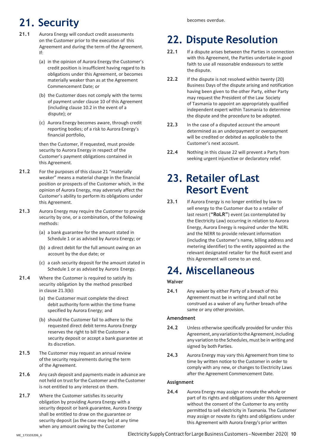## <span id="page-10-0"></span>**21. Security**

- **21.1** Aurora Energy will conduct credit assessments on the Customer prior to the execution of this Agreement and during the term of the Agreement. If:
	- (a) in the opinion of Aurora Energy the Customer's credit position is insufficient having regard to its obligations under this Agreement, or becomes materially weaker than as at the Agreement Commencement Date; or
	- (b) the Customer does not comply with the terms of payment under clause 10 of this Agreement (including clause 10.2 in the event of a dispute); or
	- (c) Aurora Energy becomes aware, through credit reporting bodies; of a risk to Aurora Energy's financial portfolio,

then the Customer, if requested, must provide security to Aurora Energy in respect of the Customer's payment obligations contained in this Agreement.

- **21.2** For the purposes of this clause 21 "materially weaker" means a material change in the financial position or prospects of the Customer which, in the opinion of Aurora Energy, may adversely affect the Customer's ability to perform its obligations under this Agreement.
- **21.3** Aurora Energy may require the Customer to provide security by one, or a combination, of the following methods:
	- (a) a bank guarantee for the amount stated in Schedule 1 or as advised by Aurora Energy; or
	- (b) a direct debit for the full amount owing on an account by the due date; or
	- (c) a cash security deposit for the amount stated in Schedule 1 or as advised by Aurora Energy.
- **21.4** Where the Customer is required to satisfy its security obligation by the method prescribed in clause 21.3(b):
	- (a) the Customer must complete the direct debit authority form within the time frame specified by Aurora Energy; and
	- (b) should the Customer fail to adhere to the requested direct debit terms Aurora Energy reserves the right to bill the Customer a security deposit or accept a bank guarantee at its discretion.
- **21.5** The Customer may request an annual review of the security requirements during the term of the Agreement.
- **21.6** Any cash deposit and payments made in advance are not held on trust for the Customer and the Customer is not entitled to any interest on them.
- **21.7** Where the Customer satisfies its security obligation by providing Aurora Energy with a security deposit or bank guarantee, Aurora Energy shall be entitled to draw on the guarantee or security deposit (as the case may be) at any time when any amount owing by the Customer

## <span id="page-10-1"></span>**22. Dispute Resolution**

- **22.1** If a dispute arises between the Parties in connection with this Agreement, the Parties undertake in good faith to use all reasonable endeavours to settle the dispute.
- **22.2** If the dispute is not resolved within twenty (20) Business Days of the dispute arising and notification having been given to the other Party, either Party may request the President of the Law Society of Tasmania to appoint an appropriately qualified independent expert within Tasmania to determine the dispute and the procedure to be adopted.
- **22.3** In the case of a disputed account the amount determined as an underpayment or overpayment will be credited or debited as applicable to the Customer's next account.
- **22.4** Nothing in this clause 22 will prevent a Party from seeking urgent injunctive or declaratory relief.

## <span id="page-10-2"></span>**23. Retailer ofLast Resort Event**

**23.1** If Aurora Energy is no longer entitled by law to sell energy to the Customer due to a retailer of last resort (**"RoLR"**) event (as contemplated by the Electricity Law) occurring in relation to Aurora Energy, Aurora Energy is required under the NERL and the NERR to provide relevant information (including the Customer's name, billing address and metering identifier) to the entity appointed as the relevant designated retailer for the RoLR event and this Agreement will come to an end.

## <span id="page-10-3"></span>**24. Miscellaneous**

### **Waiver**

**24.1** Any waiver by either Party of a breach of this Agreement must be in writing and shall not be construed as a waiver of any further breach ofthe same or any other provision.

### **Amendment**

- **24.2** Unless otherwise specifically provided for under this Agreement, any variation to the Agreement, including any variation to the Schedules, must be in writing and signed by both Parties.
- **24.3** Aurora Energy may vary this Agreement from time to time by written notice to the Customer in order to comply with any new, or changes to Electricity Laws after the Agreement Commencement Date.

### **Assignment**

**24.4** Aurora Energy may assign or novate the whole or part of its rights and obligations under this Agreement without the consent of the Customer to any entity permitted to sell electricity in Tasmania. The Customer may assign or novate its rights and obligations under this Agreement with Aurora Energy's prior written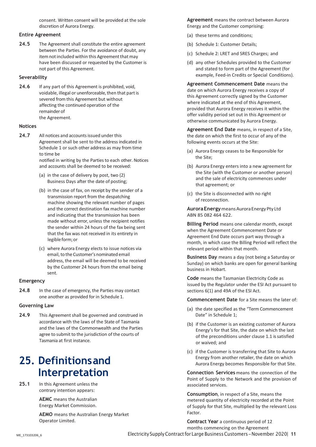consent. Written consent will be provided at the sole discretion of Aurora Energy.

#### **Entire Agreement**

**24.5** The Agreement shall constitute the entire agreement between the Parties. For the avoidance of doubt, any item not included within this Agreement that may have been discussed or requested by the Customer is not part of this Agreement.

#### **Severability**

**24.6** If any part of this Agreement is prohibited, void, voidable, illegal or unenforceable, then that part is severed from this Agreement but without affecting the continued operation of the remainder of the Agreement.

### **Notices**

- **24.7** All notices and accounts issued under this Agreement shall be sent to the address indicated in Schedule 1 or such other address as may from time to time be notified in writing by the Parties to each other. Notices and accounts shall be deemed to be received:
	- (a) in the case of delivery by post, two (2) Business Days after the date of posting;
	- (b) in the case of fax, on receipt by the sender of a transmission report from the despatching machine showing the relevant number of pages and the correct destination fax machine number and indicating that the transmission has been made without error, unless the recipient notifies the sender within 24 hours of the fax being sent that the fax was not received in its entirety in legible form; or
	- (c) where Aurora Energy elects to issue notices via email, to the Customer's nominated email address, the email will be deemed to be received by the Customer 24 hours from the email being sent.

### **Emergency**

**24.8** In the case of emergency, the Parties may contact one another as provided for in Schedule 1.

### **Governing Law**

**24.9** This Agreement shall be governed and construed in accordance with the laws of the State of Tasmania and the laws of the Commonwealth and the Parties agree to submit to the jurisdiction of the courts of Tasmania at first instance.

### <span id="page-11-0"></span>**25. Definitionsand Interpretation**

**25.1** In this Agreement unless the contrary intention appears:

> **AEMC** means the Australian Energy Market Commission.

**AEMO** means the Australian Energy Market Operator Limited.

**Agreement** means the contract between Aurora Energy and the Customer comprising:

- (a) these terms and conditions;
- (b) Schedule 1: Customer Details;
- (c) Schedule 2: LRET and SRES Charges; and
- (d) any other Schedules provided to the Customer and stated to form part of the Agreement (for example, Feed-in Credits or Special Conditions).

**Agreement Commencement Date** means the date on which Aurora Energy receives a copy of this Agreement correctly signed by the Customer where indicated at the end of this Agreement, provided that Aurora Energy receives it within the offer validity period set out in this Agreement or otherwise communicated by Aurora Energy.

**Agreement End Date** means, in respect of a Site, the date on which the first to occur of any of the following events occurs at the Site:

- (a) Aurora Energy ceases to be Responsible for the Site;
- (b) Aurora Energy enters into a new agreement for the Site (with the Customer or another person) and the sale of electricity commences under that agreement; or
- (c) the Site is disconnected with no right of reconnection.

**AuroraEnergy**meansAuroraEnergyPty Ltd ABN 85 082 464 622.

**Billing Period** means one calendar month, except when the Agreement Commencement Date or Agreement End Date occurs part way through a month, in which case the Billing Period will reflect the relevant period within that month.

**Business Day** means a day (not being a Saturday or Sunday) on which banks are open for general banking business in Hobart.

**Code** means the Tasmanian Electricity Code as issued by the Regulator under the ESI Act pursuant to sections 6(1) and 49A of the ESI Act.

**Commencement Date** for a Site means the later of:

- (a) the date specified as the "Term Commencement Date" in Schedule 1;
- (b) if the Customer is an existing customer of Aurora Energy's for that Site, the date on which the last of the preconditions under clause 1.1 is satisfied or waived; and
- (c) if the Customer is transferring that Site to Aurora Energy from another retailer, the date on which Aurora Energy becomes Responsible for that Site.

**Connection Services** means the connection of the Point of Supply to the Network and the provision of associated services.

**Consumption**, in respect of a Site, means the metered quantity of electricity recorded at the Point of Supply for that Site, multiplied by the relevant Loss Factor.

ME\_173103206\_6 Electricity SupplyContractfor Large BusinessCustomers – November 2020| **11 Contract Year** a continuous period of 12 months commencing on the Agreement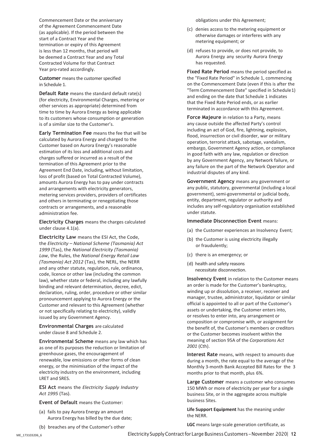Commencement Date or the anniversary of the Agreement Commencement Date (as applicable). If the period between the start of a Contract Year and the termination or expiry of this Agreement is less than 12 months, that period will be deemed a Contract Year and any Total Contracted Volume for that Contract Year pro-rated accordingly.

**Customer** means the customer specified in Schedule 1.

**Default Rate** means the standard default rate(s) (for electricity, Environmental Charges, metering or other services as appropriate) determined from time to time by Aurora Energy as being applicable to its customers whose consumption or generation is of a similar size to the Customer's.

**Early Termination Fee** means the fee that will be calculated by Aurora Energy and charged to the Customer based on Aurora Energy's reasonable estimation of its loss and additional costs and charges suffered or incurred as a result of the termination of this Agreement prior to the Agreement End Date, including, without limitation, loss of profit (based on Total Contracted Volume), amounts Aurora Energy has to pay under contracts and arrangements with electricity generators, metering services providers, providers of certificates and others in terminating or renegotiating those contracts or arrangements, and a reasonable administration fee.

**Electricity Charges** means the charges calculated under clause 4.1(a).

**Electricity Law** means the ESI Act, the Code, the *Electricity – National Scheme (Tasmania) Act 1999* (Tas), the *National Electricity (Tasmania) Law*, the Rules, the *National Energy Retail Law (Tasmania) Act 2012* (Tas), the NERL, the NERR and any other statute, regulation, rule, ordinance, code, licence or other law (including the common law), whether state or federal, including any lawfully binding and relevant determination, decree, edict, declaration, ruling, order, procedure or other similar pronouncement applying to Aurora Energy or the Customer and relevant to this Agreement (whether or not specifically relating to electricity), validly issued by any Government Agency.

**Environmental Charges** are calculated under clause 8 and Schedule 2.

**Environmental Scheme** means any law which has as one of its purposes the reduction or limitation of greenhouse gases, the encouragement of renewable, low emissions or other forms of clean energy, or the minimisation of the impact of the electricity industry on the environment, including LRET and SRES.

**ESI Act** means the *Electricity Supply Industry Act 1995* (Tas).

**Event of Default** means the Customer:

- (a) fails to pay Aurora Energy an amount Aurora Energy has billed by the due date;
- (b) breaches any of the Customer's other

obligations under this Agreement;

- (c) denies access to the metering equipment or otherwise damages or interferes with any metering equipment; or
- (d) refuses to provide, or does not provide, to Aurora Energy any security Aurora Energy has requested.

**Fixed Rate Period** means the period specified as the "Fixed Rate Period" in Schedule 1, commencing on the Commencement Date (even if this is after the "Term Commencement Date" specified in Schedule1) and ending on the date that Schedule 1 indicates that the Fixed Rate Period ends, or as earlier terminated in accordance with this Agreement.

**Force Majeure** in relation to a Party, means any cause outside the affected Party's control including an act of God, fire, lightning, explosion, flood, insurrection or civil disorder, war or military operation, terrorist attack, sabotage, vandalism, embargo, Government Agency action, or compliance in good faith with any law, regulation or direction by any Government Agency, any Network failure, or any failure on the part of the Network Operator and industrial disputes of any kind.

**Government Agency** means any government or any public, statutory, governmental (including a local government), semi-governmental or judicial body, entity, department, regulator or authority and includes any self-regulatory organisation established under statute.

#### **Immediate Disconnection Event** means:

- (a) the Customer experiences an Insolvency Event;
- (b) the Customer is using electricity illegally or fraudulently;
- (c) there is an emergency; or
- (d) health and safety reasons necessitate disconnection.

**Insolvency Event** in relation to the Customer means an order is made for the Customer's bankruptcy, winding up or dissolution, a receiver, receiver and manager, trustee, administrator, liquidator or similar official is appointed to all or part of the Customer's assets or undertaking, the Customer enters into, or resolves to enter into, any arrangement or composition or compromise with, or assignment for the benefit of, the Customer's members or creditors or the Customer becomes insolvent within the meaning of section 95A of the *Corporations Act 2001* (Cth).

**Interest Rate** means, with respect to amounts due during a month, the rate equal to the average of the Monthly 3-month Bank Accepted Bill Rates for the 3 months prior to that month, plus 6%.

**Large Customer** means a customer who consumes 150 MWh or more of electricity per year for a single business Site, or in the aggregate across multiple business Sites.

**Life Support Equipment** has the meaning under the NERR.

**LGC** means large-scale generation certificate, as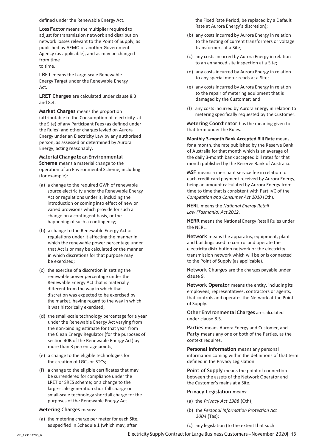defined under the Renewable Energy Act.

**Loss Factor** means the multiplier required to adjust for transmission network and distribution network losses relevant to the Point of Supply, as published by AEMO or another Government Agency (as applicable), and as may be changed from time to time.

**LRET** means the Large-scale Renewable Energy Target under the Renewable Energy Act.

**LRET Charges** are calculated under clause 8.3 and 8.4.

**Market Charges** means the proportion (attributable to the Consumption of electricity at the Site) of any Participant Fees (as defined under the Rules) and other charges levied on Aurora Energy under an Electricity Law by any authorised person, as assessed or determined by Aurora Energy, acting reasonably.

**MaterialChangetoanEnvironmental Scheme** means a material change to the operation of an Environmental Scheme, including (for example):

- (a) a change to the required GWh of renewable source electricity under the Renewable Energy Act or regulations under it, including the introduction or coming into effect of new or varied provisions which provide for such a change on a contingent basis, or the happening of such a contingency;
- (b) a change to the Renewable Energy Act or regulations under it affecting the manner in which the renewable power percentage under that Act is or may be calculated or the manner in which discretions for that purpose may be exercised;
- (c) the exercise of a discretion in setting the renewable power percentage under the Renewable Energy Act that is materially different from the way in which that discretion was expected to be exercised by the market, having regard to the way in which it was historically exercised;
- (d) the small-scale technology percentage for a year under the Renewable Energy Act varying from the non-binding estimate for that year from the Clean Energy Regulator (for the purposes of section 40B of the Renewable Energy Act) by more than 3 percentage points;
- (e) a change to the eligible technologies for the creation of LGCs or STCs;
- (f) a change to the eligible certificates that may be surrendered for compliance under the LRET or SRES scheme; or a change to the large-scale generation shortfall charge or small-scale technology shortfall charge for the purposes of the Renewable Energy Act.

### **Metering Charges** means:

(a) the metering charge per meter for each Site, as specified in Schedule 1 (which may, after

the Fixed Rate Period, be replaced by a Default Rate at Aurora Energy's discretion);

- (b) any costs incurred by Aurora Energy in relation to the testing of current transformers or voltage transformers at a Site;
- (c) any costs incurred by Aurora Energy in relation to an enhanced site inspection at a Site;
- (d) any costs incurred by Aurora Energy in relation to any special meter reads at a Site;
- (e) any costs incurred by Aurora Energy in relation to the repair of metering equipment that is damaged by the Customer; and
- (f) any costs incurred by Aurora Energy in relation to metering specifically requested by the Customer.

**Metering Coordinator** has the meaning given to that term under the Rules.

**Monthly 3-month Bank Accepted Bill Rate** means, for a month, the rate published by the Reserve Bank of Australia for that month which is an average of the daily 3-month bank accepted bill rates for that month published by the Reserve Bank of Australia.

**MSF** means a merchant service fee in relation to each credit card payment received by Aurora Energy, being an amount calculated by Aurora Energy from time to time that is consistent with Part IVC of the *Competition and Consumer Act 2010* (Cth).

**NERL** means the *National Energy Retail Law (Tasmania) Act 2012*.

**NERR** means the National Energy Retail Rules under the NERL.

**Network** means the apparatus, equipment, plant and buildings used to control and operate the electricity distribution network or the electricity transmission network which will be or is connected to the Point of Supply (as applicable).

**Network Charges** are the charges payable under clause 9.

**Network Operator** means the entity, including its employees, representatives, contractors or agents, that controls and operates the Network at the Point of Supply.

**Other Environmental Charges** are calculated under clause 8.5.

**Parties** means Aurora Energy and Customer, and **Party** means any one or both of the Parties, as the context requires.

**Personal Information** means any personal information coming within the definitions of that term defined in the Privacy Legislation.

**Point of Supply** means the point of connection between the assets of the Network Operator and the Customer's mains at a Site.

#### **Privacy Legislation** means:

- (a) the *Privacy Act 1988* (Cth);
- (b) the *Personal Information Protection Act 2004* (Tas);
- (c) any legislation (to the extent that such